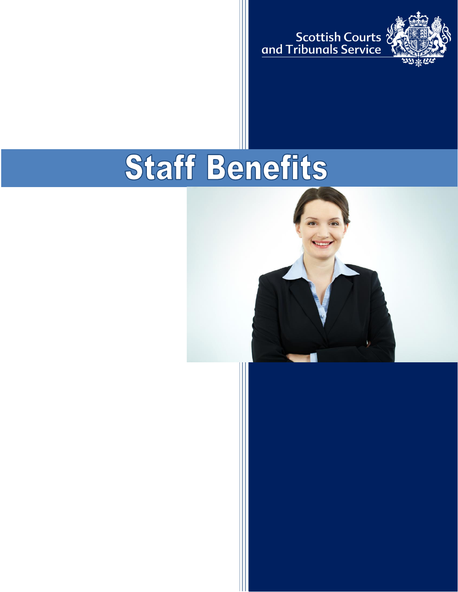ی<br>Scottish Courts<br>C<u>and Tribunals Service</u>



# Staff Benefits

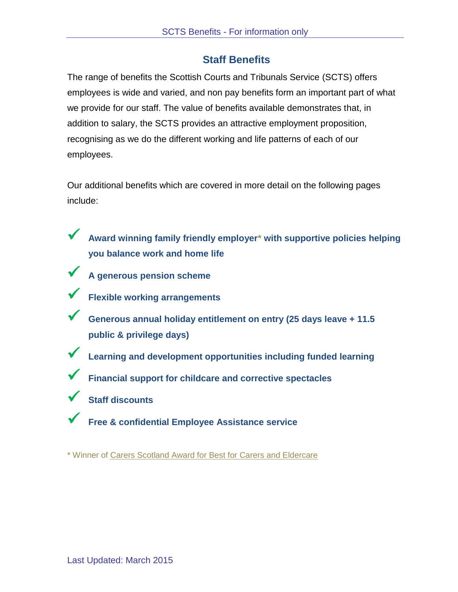# **Staff Benefits**

The range of benefits the Scottish Courts and Tribunals Service (SCTS) offers employees is wide and varied, and non pay benefits form an important part of what we provide for our staff. The value of benefits available demonstrates that, in addition to salary, the SCTS provides an attractive employment proposition, recognising as we do the different working and life patterns of each of our employees.

Our additional benefits which are covered in more detail on the following pages include:

- **Award winning family friendly employer\* with supportive policies helping you balance work and home life**
- **A generous pension scheme**
- **Flexible working arrangements**
- **Generous annual holiday entitlement on entry (25 days leave + 11.5 public & privilege days)**
- **Learning and development opportunities including funded learning**
- **Financial support for childcare and corrective spectacles**
- **Staff discounts**
- **Free & confidential Employee Assistance service**

\* Winner of [Carers Scotland Award for Best for Carers and Eldercare](http://www.workingfamilies.org.uk/wp-content/uploads/2015/03/33582-FFWS-Winners-Brochure-For-Web.pdf)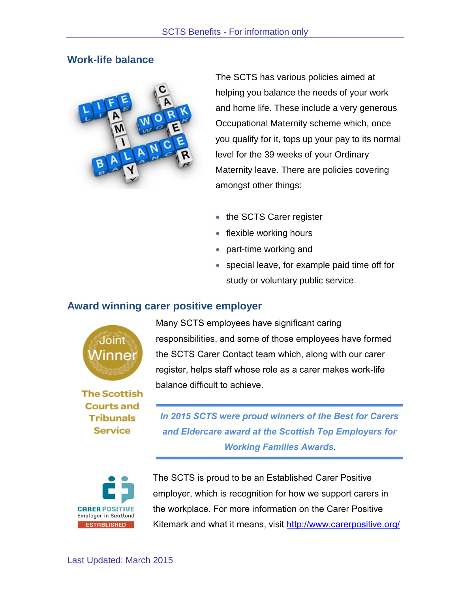#### **Work-life balance**



The SCTS has various policies aimed at helping you balance the needs of your work and home life. These include a very generous Occupational Maternity scheme which, once you qualify for it, tops up your pay to its normal level for the 39 weeks of your Ordinary Maternity leave. There are policies covering amongst other things:

- the SCTS Carer register
- flexible working hours
- part-time working and
- special leave, for example paid time off for study or voluntary public service.

#### **Award winning carer positive employer**



**The Scottish Courts and Tribunals Service** 

Many SCTS employees have significant caring responsibilities, and some of those employees have formed the SCTS Carer Contact team which, along with our carer register, helps staff whose role as a carer makes work-life balance difficult to achieve.

*In 2015 SCTS were proud winners of the Best for Carers and Eldercare award at the Scottish Top Employers for Working Families Awards.*



The SCTS is proud to be an Established Carer Positive employer, which is recognition for how we support carers in the workplace. For more information on the Carer Positive Kitemark and what it means, visit<http://www.carerpositive.org/>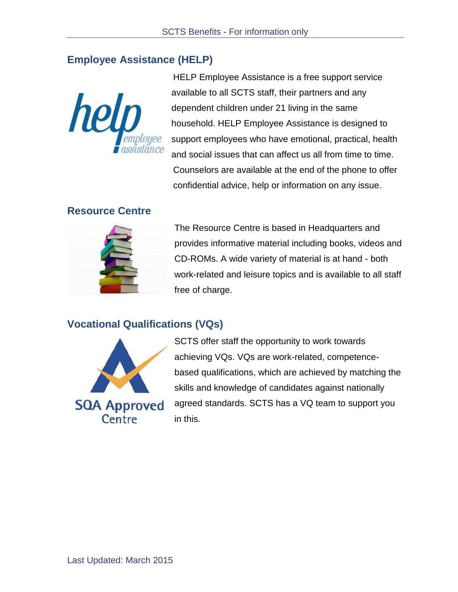# **Employee Assistance (HELP)**



HELP Employee Assistance is a free support service available to all SCTS staff, their partners and any dependent children under 21 living in the same household. HELP Employee Assistance is designed to support employees who have emotional, practical, health and social issues that can affect us all from time to time. Counselors are available at the end of the phone to offer confidential advice, help or information on any issue.

#### **Resource Centre**



The Resource Centre is based in Headquarters and provides informative material including books, videos and CD-ROMs. A wide variety of material is at hand - both work-related and leisure topics and is available to all staff free of charge.

# **Vocational Qualifications (VQs)**



SCTS offer staff the opportunity to work towards achieving VQs. VQs are work-related, competencebased qualifications, which are achieved by matching the skills and knowledge of candidates against nationally agreed standards. SCTS has a VQ team to support you in this.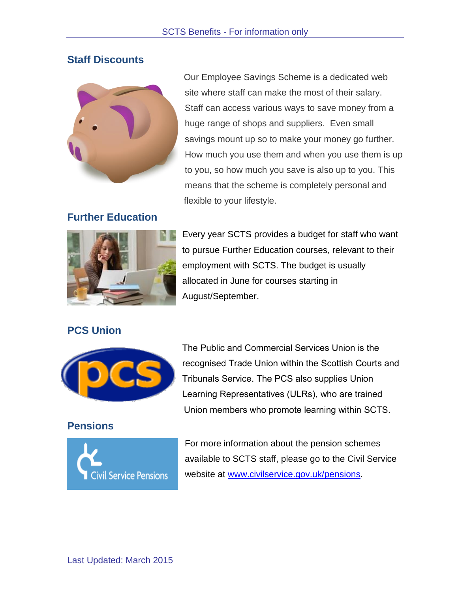# **Staff Discounts**



Our Employee Savings Scheme is a dedicated web site where staff can make the most of their salary. Staff can access various ways to save money from a huge range of shops and suppliers. Even small savings mount up so to make your money go further. How much you use them and when you use them is up to you, so how much you save is also up to you. This means that the scheme is completely personal and flexible to your lifestyle.

## **Further Education**



Every year SCTS provides a budget for staff who want to pursue Further Education courses, relevant to their employment with SCTS. The budget is usually allocated in June for courses starting in August/September.

## **PCS Union**



**Pensions**



The Public and Commercial Services Union is the recognised Trade Union within the Scottish Courts and Tribunals Service. The PCS also supplies Union Learning Representatives (ULRs), who are trained Union members who promote learning within SCTS.

For more information about the pension schemes available to SCTS staff, please go to the Civil Service website at [www.civilservice.gov.uk/pensions.](http://www.civilservice.gov.uk/pensions)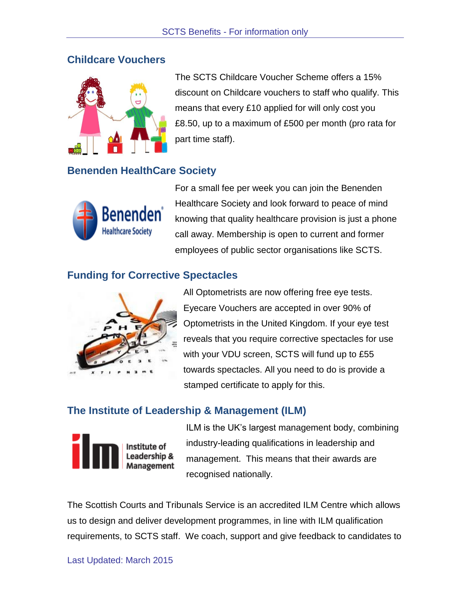#### **Childcare Vouchers**



The SCTS Childcare Voucher Scheme offers a 15% discount on Childcare vouchers to staff who qualify. This means that every £10 applied for will only cost you £8.50, up to a maximum of £500 per month (pro rata for part time staff).

## **Benenden HealthCare Society**



For a small fee per week you can join the Benenden Healthcare Society and look forward to peace of mind knowing that quality healthcare provision is just a phone call away. Membership is open to current and former employees of public sector organisations like SCTS.

# **Funding for Corrective Spectacles**



All Optometrists are now offering free eye tests. Eyecare Vouchers are accepted in over 90% of Optometrists in the United Kingdom. If your eye test reveals that you require corrective spectacles for use with your VDU screen, SCTS will fund up to £55 towards spectacles. All you need to do is provide a stamped certificate to apply for this.

# **The Institute of Leadership & Management (ILM)**



ILM is the UK's largest management body, combining industry-leading qualifications in leadership and management. This means that their awards are recognised nationally.

The Scottish Courts and Tribunals Service is an accredited ILM Centre which allows us to design and deliver development programmes, in line with ILM qualification requirements, to SCTS staff. We coach, support and give feedback to candidates to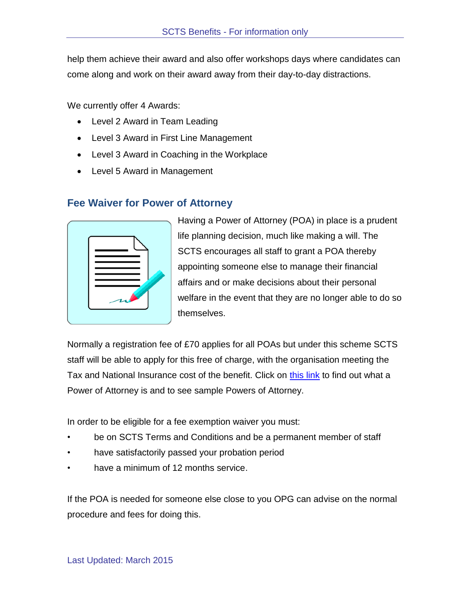help them achieve their award and also offer workshops days where candidates can come along and work on their award away from their day-to-day distractions.

We currently offer 4 Awards:

- Level 2 Award in Team Leading
- Level 3 Award in First Line Management
- Level 3 Award in Coaching in the Workplace
- Level 5 Award in Management

#### **Fee Waiver for Power of Attorney**

Having a Power of Attorney (POA) in place is a prudent life planning decision, much like making a will. The SCTS encourages all staff to grant a POA thereby appointing someone else to manage their financial affairs and or make decisions about their personal welfare in the event that they are no longer able to do so themselves.

Normally a registration fee of £70 applies for all POAs but under this scheme SCTS staff will be able to apply for this free of charge, with the organisation meeting the Tax and National Insurance cost of the benefit. Click on [this link](http://myscs.scotcourts.local/news/NewsArticleM.aspx?id=1326) to find out what a Power of Attorney is and to see sample Powers of Attorney.

In order to be eligible for a fee exemption waiver you must:

- be on SCTS Terms and Conditions and be a permanent member of staff
- have satisfactorily passed your probation period
- have a minimum of 12 months service.

If the POA is needed for someone else close to you OPG can advise on the normal procedure and fees for doing this.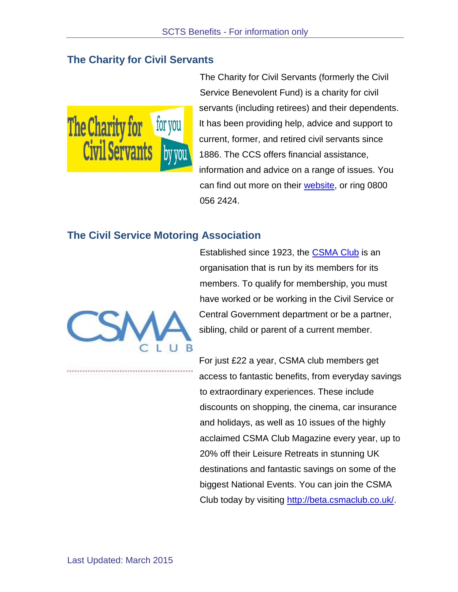## **The Charity for Civil Servants**



The Charity for Civil Servants (formerly the Civil Service Benevolent Fund) is a charity for civil servants (including retirees) and their dependents. It has been providing help, advice and support to current, former, and retired civil servants since 1886. The CCS offers financial assistance, information and advice on a range of issues. You can find out more on their [website,](http://www.foryoubyyou.org.uk/) or ring 0800 056 2424.

#### **The Civil Service Motoring Association**



Established since 1923, the [CSMA Club](http://beta.csmaclub.co.uk/) is an organisation that is run by its members for its members. To qualify for membership, you must have worked or be working in the Civil Service or Central Government department or be a partner, sibling, child or parent of a current member.

For just £22 a year, CSMA club members get access to fantastic benefits, from everyday savings to extraordinary experiences. These include discounts on shopping, the cinema, car insurance and holidays, as well as 10 issues of the highly acclaimed CSMA Club Magazine every year, up to 20% off their Leisure Retreats in stunning UK destinations and fantastic savings on some of the biggest National Events. You can join the CSMA Club today by visiting [http://beta.csmaclub.co.uk/.](http://beta.csmaclub.co.uk/)